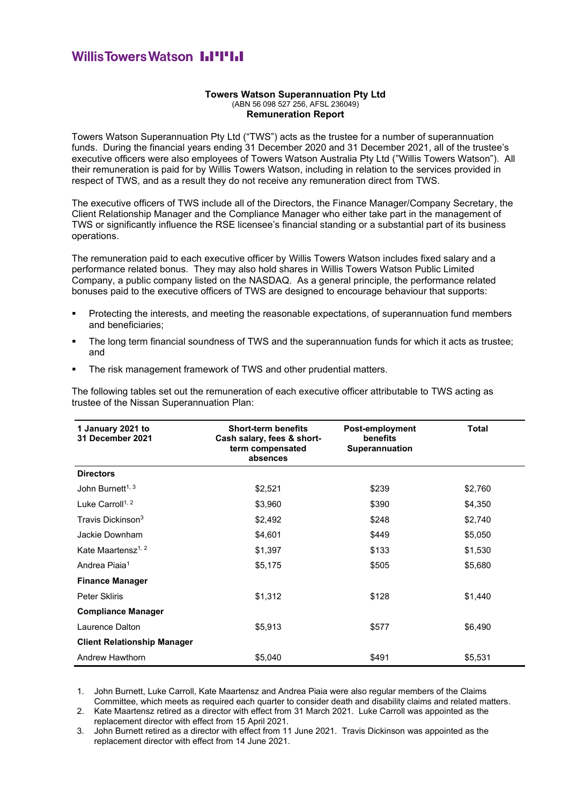## **WillisTowersWatson I.I'I'I.I**

## **Towers Watson Superannuation Pty Ltd** (ABN 56 098 527 256, AFSL 236049) **Remuneration Report**

Towers Watson Superannuation Pty Ltd ("TWS") acts as the trustee for a number of superannuation funds. During the financial years ending 31 December 2020 and 31 December 2021, all of the trustee's executive officers were also employees of Towers Watson Australia Pty Ltd ("Willis Towers Watson"). All their remuneration is paid for by Willis Towers Watson, including in relation to the services provided in respect of TWS, and as a result they do not receive any remuneration direct from TWS.

The executive officers of TWS include all of the Directors, the Finance Manager/Company Secretary, the Client Relationship Manager and the Compliance Manager who either take part in the management of TWS or significantly influence the RSE licensee's financial standing or a substantial part of its business operations.

The remuneration paid to each executive officer by Willis Towers Watson includes fixed salary and a performance related bonus. They may also hold shares in Willis Towers Watson Public Limited Company, a public company listed on the NASDAQ. As a general principle, the performance related bonuses paid to the executive officers of TWS are designed to encourage behaviour that supports:

- Protecting the interests, and meeting the reasonable expectations, of superannuation fund members and beneficiaries;
- The long term financial soundness of TWS and the superannuation funds for which it acts as trustee; and
- **EXECT** The risk management framework of TWS and other prudential matters.

The following tables set out the remuneration of each executive officer attributable to TWS acting as trustee of the Nissan Superannuation Plan:

| 1 January 2021 to<br>31 December 2021 | <b>Short-term benefits</b><br>Cash salary, fees & short-<br>term compensated<br>absences | Post-employment<br>benefits<br>Superannuation | <b>Total</b> |
|---------------------------------------|------------------------------------------------------------------------------------------|-----------------------------------------------|--------------|
| <b>Directors</b>                      |                                                                                          |                                               |              |
| John Burnett <sup>1, 3</sup>          | \$2,521                                                                                  | \$239                                         | \$2,760      |
| Luke Carroll <sup>1, 2</sup>          | \$3,960                                                                                  | \$390                                         | \$4,350      |
| Travis Dickinson <sup>3</sup>         | \$2,492                                                                                  | \$248                                         | \$2,740      |
| Jackie Downham                        | \$4,601                                                                                  | \$449                                         | \$5,050      |
| Kate Maartensz <sup>1, 2</sup>        | \$1,397                                                                                  | \$133                                         | \$1,530      |
| Andrea Piaia <sup>1</sup>             | \$5,175                                                                                  | \$505                                         | \$5,680      |
| <b>Finance Manager</b>                |                                                                                          |                                               |              |
| Peter Skliris                         | \$1,312                                                                                  | \$128                                         | \$1,440      |
| <b>Compliance Manager</b>             |                                                                                          |                                               |              |
| Laurence Dalton                       | \$5,913                                                                                  | \$577                                         | \$6,490      |
| <b>Client Relationship Manager</b>    |                                                                                          |                                               |              |
| Andrew Hawthorn                       | \$5,040                                                                                  | \$491                                         | \$5,531      |

1. John Burnett, Luke Carroll, Kate Maartensz and Andrea Piaia were also regular members of the Claims Committee, which meets as required each quarter to consider death and disability claims and related matters.

2. Kate Maartensz retired as a director with effect from 31 March 2021. Luke Carroll was appointed as the replacement director with effect from 15 April 2021.

3. John Burnett retired as a director with effect from 11 June 2021. Travis Dickinson was appointed as the replacement director with effect from 14 June 2021.